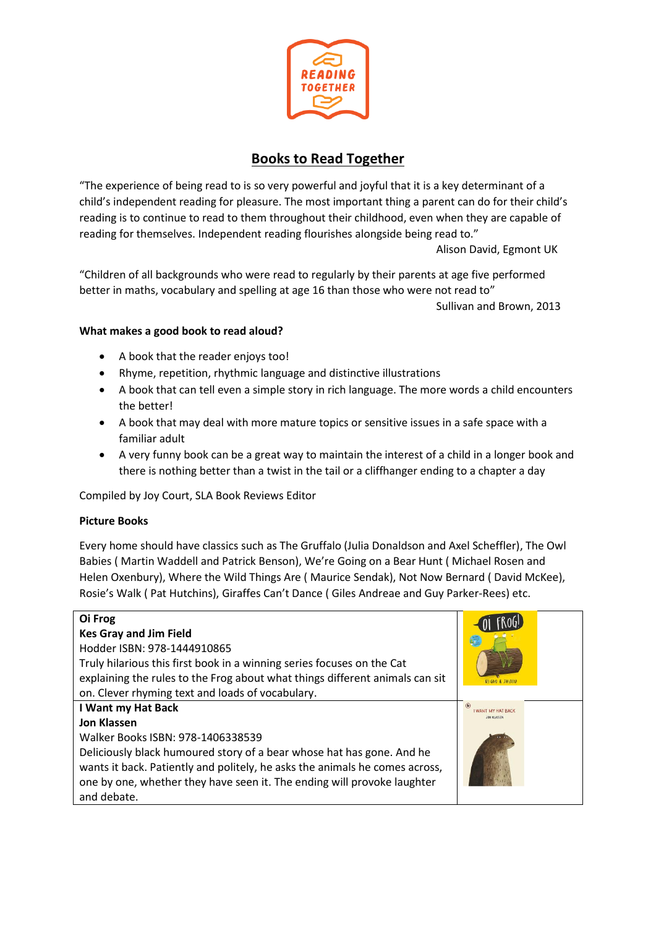

# **Books to Read Together**

"The experience of being read to is so very powerful and joyful that it is a key determinant of a child's independent reading for pleasure. The most important thing a parent can do for their child's reading is to continue to read to them throughout their childhood, even when they are capable of reading for themselves. Independent reading flourishes alongside being read to."

Alison David, Egmont UK

"Children of all backgrounds who were read to regularly by their parents at age five performed better in maths, vocabulary and spelling at age 16 than those who were not read to" Sullivan and Brown, 2013

# **What makes a good book to read aloud?**

- A book that the reader enjoys too!
- Rhyme, repetition, rhythmic language and distinctive illustrations
- A book that can tell even a simple story in rich language. The more words a child encounters the better!
- A book that may deal with more mature topics or sensitive issues in a safe space with a familiar adult
- A very funny book can be a great way to maintain the interest of a child in a longer book and there is nothing better than a twist in the tail or a cliffhanger ending to a chapter a day

Compiled by Joy Court, SLA Book Reviews Editor

### **Picture Books**

Every home should have classics such as The Gruffalo (Julia Donaldson and Axel Scheffler), The Owl Babies ( Martin Waddell and Patrick Benson), We're Going on a Bear Hunt ( Michael Rosen and Helen Oxenbury), Where the Wild Things Are ( Maurice Sendak), Not Now Bernard ( David McKee), Rosie's Walk ( Pat Hutchins), Giraffes Can't Dance ( Giles Andreae and Guy Parker-Rees) etc.

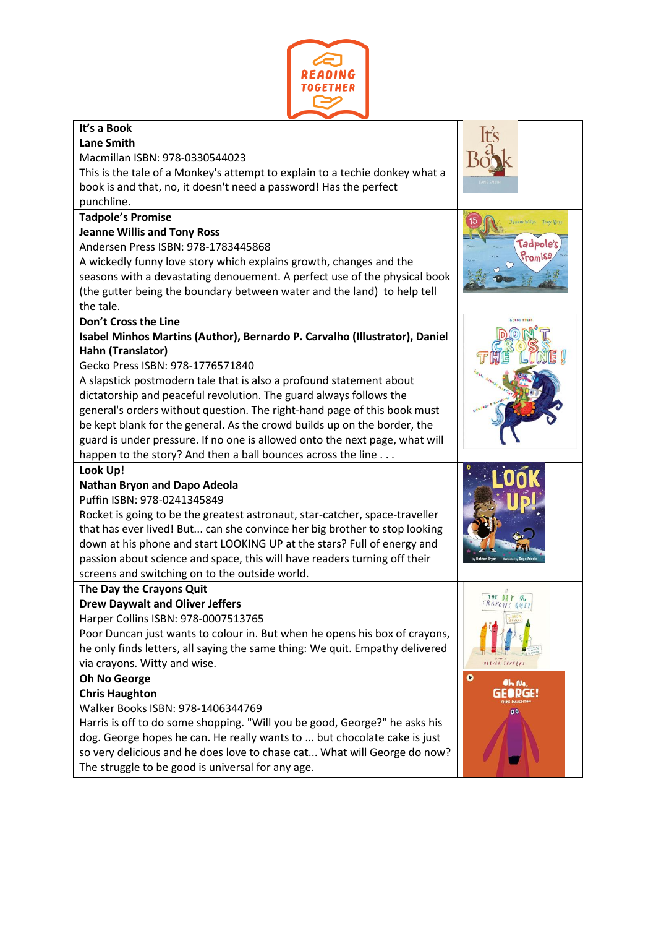

| It's a Book<br><b>Lane Smith</b><br>Macmillan ISBN: 978-0330544023<br>This is the tale of a Monkey's attempt to explain to a techie donkey what a<br>book is and that, no, it doesn't need a password! Has the perfect<br>punchline.<br><b>Tadpole's Promise</b><br><b>Jeanne Willis and Tony Ross</b><br>(radpole)<br>Andersen Press ISBN: 978-1783445868<br>romise<br>A wickedly funny love story which explains growth, changes and the<br>seasons with a devastating denouement. A perfect use of the physical book<br>(the gutter being the boundary between water and the land) to help tell<br>the tale.<br>Don't Cross the Line<br>Isabel Minhos Martins (Author), Bernardo P. Carvalho (Illustrator), Daniel<br>Hahn (Translator)<br>Gecko Press ISBN: 978-1776571840<br>A slapstick postmodern tale that is also a profound statement about<br>dictatorship and peaceful revolution. The guard always follows the<br>general's orders without question. The right-hand page of this book must<br>be kept blank for the general. As the crowd builds up on the border, the<br>guard is under pressure. If no one is allowed onto the next page, what will<br>happen to the story? And then a ball bounces across the line<br>Look Up!<br><b>Nathan Bryon and Dapo Adeola</b><br>Puffin ISBN: 978-0241345849<br>Rocket is going to be the greatest astronaut, star-catcher, space-traveller<br>that has ever lived! But can she convince her big brother to stop looking<br>down at his phone and start LOOKING UP at the stars? Full of energy and<br>passion about science and space, this will have readers turning off their<br>screens and switching on to the outside world.<br>The Day the Crayons Quit<br><b>Drew Daywalt and Oliver Jeffers</b><br>Harper Collins ISBN: 978-0007513765<br>Poor Duncan just wants to colour in. But when he opens his box of crayons,<br>he only finds letters, all saying the same thing: We quit. Empathy delivered<br>via crayons. Witty and wise.<br>o<br><b>Oh No George</b> |
|-----------------------------------------------------------------------------------------------------------------------------------------------------------------------------------------------------------------------------------------------------------------------------------------------------------------------------------------------------------------------------------------------------------------------------------------------------------------------------------------------------------------------------------------------------------------------------------------------------------------------------------------------------------------------------------------------------------------------------------------------------------------------------------------------------------------------------------------------------------------------------------------------------------------------------------------------------------------------------------------------------------------------------------------------------------------------------------------------------------------------------------------------------------------------------------------------------------------------------------------------------------------------------------------------------------------------------------------------------------------------------------------------------------------------------------------------------------------------------------------------------------------------------------------------------------------------------------------------------------------------------------------------------------------------------------------------------------------------------------------------------------------------------------------------------------------------------------------------------------------------------------------------------------------------------------------------------------------------------------------------------------------------------------|
|                                                                                                                                                                                                                                                                                                                                                                                                                                                                                                                                                                                                                                                                                                                                                                                                                                                                                                                                                                                                                                                                                                                                                                                                                                                                                                                                                                                                                                                                                                                                                                                                                                                                                                                                                                                                                                                                                                                                                                                                                                   |
|                                                                                                                                                                                                                                                                                                                                                                                                                                                                                                                                                                                                                                                                                                                                                                                                                                                                                                                                                                                                                                                                                                                                                                                                                                                                                                                                                                                                                                                                                                                                                                                                                                                                                                                                                                                                                                                                                                                                                                                                                                   |
|                                                                                                                                                                                                                                                                                                                                                                                                                                                                                                                                                                                                                                                                                                                                                                                                                                                                                                                                                                                                                                                                                                                                                                                                                                                                                                                                                                                                                                                                                                                                                                                                                                                                                                                                                                                                                                                                                                                                                                                                                                   |
|                                                                                                                                                                                                                                                                                                                                                                                                                                                                                                                                                                                                                                                                                                                                                                                                                                                                                                                                                                                                                                                                                                                                                                                                                                                                                                                                                                                                                                                                                                                                                                                                                                                                                                                                                                                                                                                                                                                                                                                                                                   |
|                                                                                                                                                                                                                                                                                                                                                                                                                                                                                                                                                                                                                                                                                                                                                                                                                                                                                                                                                                                                                                                                                                                                                                                                                                                                                                                                                                                                                                                                                                                                                                                                                                                                                                                                                                                                                                                                                                                                                                                                                                   |
|                                                                                                                                                                                                                                                                                                                                                                                                                                                                                                                                                                                                                                                                                                                                                                                                                                                                                                                                                                                                                                                                                                                                                                                                                                                                                                                                                                                                                                                                                                                                                                                                                                                                                                                                                                                                                                                                                                                                                                                                                                   |
|                                                                                                                                                                                                                                                                                                                                                                                                                                                                                                                                                                                                                                                                                                                                                                                                                                                                                                                                                                                                                                                                                                                                                                                                                                                                                                                                                                                                                                                                                                                                                                                                                                                                                                                                                                                                                                                                                                                                                                                                                                   |
|                                                                                                                                                                                                                                                                                                                                                                                                                                                                                                                                                                                                                                                                                                                                                                                                                                                                                                                                                                                                                                                                                                                                                                                                                                                                                                                                                                                                                                                                                                                                                                                                                                                                                                                                                                                                                                                                                                                                                                                                                                   |
|                                                                                                                                                                                                                                                                                                                                                                                                                                                                                                                                                                                                                                                                                                                                                                                                                                                                                                                                                                                                                                                                                                                                                                                                                                                                                                                                                                                                                                                                                                                                                                                                                                                                                                                                                                                                                                                                                                                                                                                                                                   |
|                                                                                                                                                                                                                                                                                                                                                                                                                                                                                                                                                                                                                                                                                                                                                                                                                                                                                                                                                                                                                                                                                                                                                                                                                                                                                                                                                                                                                                                                                                                                                                                                                                                                                                                                                                                                                                                                                                                                                                                                                                   |
|                                                                                                                                                                                                                                                                                                                                                                                                                                                                                                                                                                                                                                                                                                                                                                                                                                                                                                                                                                                                                                                                                                                                                                                                                                                                                                                                                                                                                                                                                                                                                                                                                                                                                                                                                                                                                                                                                                                                                                                                                                   |
|                                                                                                                                                                                                                                                                                                                                                                                                                                                                                                                                                                                                                                                                                                                                                                                                                                                                                                                                                                                                                                                                                                                                                                                                                                                                                                                                                                                                                                                                                                                                                                                                                                                                                                                                                                                                                                                                                                                                                                                                                                   |
|                                                                                                                                                                                                                                                                                                                                                                                                                                                                                                                                                                                                                                                                                                                                                                                                                                                                                                                                                                                                                                                                                                                                                                                                                                                                                                                                                                                                                                                                                                                                                                                                                                                                                                                                                                                                                                                                                                                                                                                                                                   |
|                                                                                                                                                                                                                                                                                                                                                                                                                                                                                                                                                                                                                                                                                                                                                                                                                                                                                                                                                                                                                                                                                                                                                                                                                                                                                                                                                                                                                                                                                                                                                                                                                                                                                                                                                                                                                                                                                                                                                                                                                                   |
|                                                                                                                                                                                                                                                                                                                                                                                                                                                                                                                                                                                                                                                                                                                                                                                                                                                                                                                                                                                                                                                                                                                                                                                                                                                                                                                                                                                                                                                                                                                                                                                                                                                                                                                                                                                                                                                                                                                                                                                                                                   |
|                                                                                                                                                                                                                                                                                                                                                                                                                                                                                                                                                                                                                                                                                                                                                                                                                                                                                                                                                                                                                                                                                                                                                                                                                                                                                                                                                                                                                                                                                                                                                                                                                                                                                                                                                                                                                                                                                                                                                                                                                                   |
|                                                                                                                                                                                                                                                                                                                                                                                                                                                                                                                                                                                                                                                                                                                                                                                                                                                                                                                                                                                                                                                                                                                                                                                                                                                                                                                                                                                                                                                                                                                                                                                                                                                                                                                                                                                                                                                                                                                                                                                                                                   |
|                                                                                                                                                                                                                                                                                                                                                                                                                                                                                                                                                                                                                                                                                                                                                                                                                                                                                                                                                                                                                                                                                                                                                                                                                                                                                                                                                                                                                                                                                                                                                                                                                                                                                                                                                                                                                                                                                                                                                                                                                                   |
|                                                                                                                                                                                                                                                                                                                                                                                                                                                                                                                                                                                                                                                                                                                                                                                                                                                                                                                                                                                                                                                                                                                                                                                                                                                                                                                                                                                                                                                                                                                                                                                                                                                                                                                                                                                                                                                                                                                                                                                                                                   |
|                                                                                                                                                                                                                                                                                                                                                                                                                                                                                                                                                                                                                                                                                                                                                                                                                                                                                                                                                                                                                                                                                                                                                                                                                                                                                                                                                                                                                                                                                                                                                                                                                                                                                                                                                                                                                                                                                                                                                                                                                                   |
|                                                                                                                                                                                                                                                                                                                                                                                                                                                                                                                                                                                                                                                                                                                                                                                                                                                                                                                                                                                                                                                                                                                                                                                                                                                                                                                                                                                                                                                                                                                                                                                                                                                                                                                                                                                                                                                                                                                                                                                                                                   |
|                                                                                                                                                                                                                                                                                                                                                                                                                                                                                                                                                                                                                                                                                                                                                                                                                                                                                                                                                                                                                                                                                                                                                                                                                                                                                                                                                                                                                                                                                                                                                                                                                                                                                                                                                                                                                                                                                                                                                                                                                                   |
|                                                                                                                                                                                                                                                                                                                                                                                                                                                                                                                                                                                                                                                                                                                                                                                                                                                                                                                                                                                                                                                                                                                                                                                                                                                                                                                                                                                                                                                                                                                                                                                                                                                                                                                                                                                                                                                                                                                                                                                                                                   |
|                                                                                                                                                                                                                                                                                                                                                                                                                                                                                                                                                                                                                                                                                                                                                                                                                                                                                                                                                                                                                                                                                                                                                                                                                                                                                                                                                                                                                                                                                                                                                                                                                                                                                                                                                                                                                                                                                                                                                                                                                                   |
|                                                                                                                                                                                                                                                                                                                                                                                                                                                                                                                                                                                                                                                                                                                                                                                                                                                                                                                                                                                                                                                                                                                                                                                                                                                                                                                                                                                                                                                                                                                                                                                                                                                                                                                                                                                                                                                                                                                                                                                                                                   |
|                                                                                                                                                                                                                                                                                                                                                                                                                                                                                                                                                                                                                                                                                                                                                                                                                                                                                                                                                                                                                                                                                                                                                                                                                                                                                                                                                                                                                                                                                                                                                                                                                                                                                                                                                                                                                                                                                                                                                                                                                                   |
|                                                                                                                                                                                                                                                                                                                                                                                                                                                                                                                                                                                                                                                                                                                                                                                                                                                                                                                                                                                                                                                                                                                                                                                                                                                                                                                                                                                                                                                                                                                                                                                                                                                                                                                                                                                                                                                                                                                                                                                                                                   |
|                                                                                                                                                                                                                                                                                                                                                                                                                                                                                                                                                                                                                                                                                                                                                                                                                                                                                                                                                                                                                                                                                                                                                                                                                                                                                                                                                                                                                                                                                                                                                                                                                                                                                                                                                                                                                                                                                                                                                                                                                                   |
|                                                                                                                                                                                                                                                                                                                                                                                                                                                                                                                                                                                                                                                                                                                                                                                                                                                                                                                                                                                                                                                                                                                                                                                                                                                                                                                                                                                                                                                                                                                                                                                                                                                                                                                                                                                                                                                                                                                                                                                                                                   |
|                                                                                                                                                                                                                                                                                                                                                                                                                                                                                                                                                                                                                                                                                                                                                                                                                                                                                                                                                                                                                                                                                                                                                                                                                                                                                                                                                                                                                                                                                                                                                                                                                                                                                                                                                                                                                                                                                                                                                                                                                                   |
|                                                                                                                                                                                                                                                                                                                                                                                                                                                                                                                                                                                                                                                                                                                                                                                                                                                                                                                                                                                                                                                                                                                                                                                                                                                                                                                                                                                                                                                                                                                                                                                                                                                                                                                                                                                                                                                                                                                                                                                                                                   |
|                                                                                                                                                                                                                                                                                                                                                                                                                                                                                                                                                                                                                                                                                                                                                                                                                                                                                                                                                                                                                                                                                                                                                                                                                                                                                                                                                                                                                                                                                                                                                                                                                                                                                                                                                                                                                                                                                                                                                                                                                                   |
|                                                                                                                                                                                                                                                                                                                                                                                                                                                                                                                                                                                                                                                                                                                                                                                                                                                                                                                                                                                                                                                                                                                                                                                                                                                                                                                                                                                                                                                                                                                                                                                                                                                                                                                                                                                                                                                                                                                                                                                                                                   |
|                                                                                                                                                                                                                                                                                                                                                                                                                                                                                                                                                                                                                                                                                                                                                                                                                                                                                                                                                                                                                                                                                                                                                                                                                                                                                                                                                                                                                                                                                                                                                                                                                                                                                                                                                                                                                                                                                                                                                                                                                                   |
|                                                                                                                                                                                                                                                                                                                                                                                                                                                                                                                                                                                                                                                                                                                                                                                                                                                                                                                                                                                                                                                                                                                                                                                                                                                                                                                                                                                                                                                                                                                                                                                                                                                                                                                                                                                                                                                                                                                                                                                                                                   |
|                                                                                                                                                                                                                                                                                                                                                                                                                                                                                                                                                                                                                                                                                                                                                                                                                                                                                                                                                                                                                                                                                                                                                                                                                                                                                                                                                                                                                                                                                                                                                                                                                                                                                                                                                                                                                                                                                                                                                                                                                                   |
|                                                                                                                                                                                                                                                                                                                                                                                                                                                                                                                                                                                                                                                                                                                                                                                                                                                                                                                                                                                                                                                                                                                                                                                                                                                                                                                                                                                                                                                                                                                                                                                                                                                                                                                                                                                                                                                                                                                                                                                                                                   |
| Oh No.<br><b>Chris Haughton</b><br>5 1963                                                                                                                                                                                                                                                                                                                                                                                                                                                                                                                                                                                                                                                                                                                                                                                                                                                                                                                                                                                                                                                                                                                                                                                                                                                                                                                                                                                                                                                                                                                                                                                                                                                                                                                                                                                                                                                                                                                                                                                         |
| Walker Books ISBN: 978-1406344769                                                                                                                                                                                                                                                                                                                                                                                                                                                                                                                                                                                                                                                                                                                                                                                                                                                                                                                                                                                                                                                                                                                                                                                                                                                                                                                                                                                                                                                                                                                                                                                                                                                                                                                                                                                                                                                                                                                                                                                                 |
| 00<br>Harris is off to do some shopping. "Will you be good, George?" he asks his                                                                                                                                                                                                                                                                                                                                                                                                                                                                                                                                                                                                                                                                                                                                                                                                                                                                                                                                                                                                                                                                                                                                                                                                                                                                                                                                                                                                                                                                                                                                                                                                                                                                                                                                                                                                                                                                                                                                                  |
| dog. George hopes he can. He really wants to  but chocolate cake is just                                                                                                                                                                                                                                                                                                                                                                                                                                                                                                                                                                                                                                                                                                                                                                                                                                                                                                                                                                                                                                                                                                                                                                                                                                                                                                                                                                                                                                                                                                                                                                                                                                                                                                                                                                                                                                                                                                                                                          |
| so very delicious and he does love to chase cat What will George do now?                                                                                                                                                                                                                                                                                                                                                                                                                                                                                                                                                                                                                                                                                                                                                                                                                                                                                                                                                                                                                                                                                                                                                                                                                                                                                                                                                                                                                                                                                                                                                                                                                                                                                                                                                                                                                                                                                                                                                          |
| The struggle to be good is universal for any age.                                                                                                                                                                                                                                                                                                                                                                                                                                                                                                                                                                                                                                                                                                                                                                                                                                                                                                                                                                                                                                                                                                                                                                                                                                                                                                                                                                                                                                                                                                                                                                                                                                                                                                                                                                                                                                                                                                                                                                                 |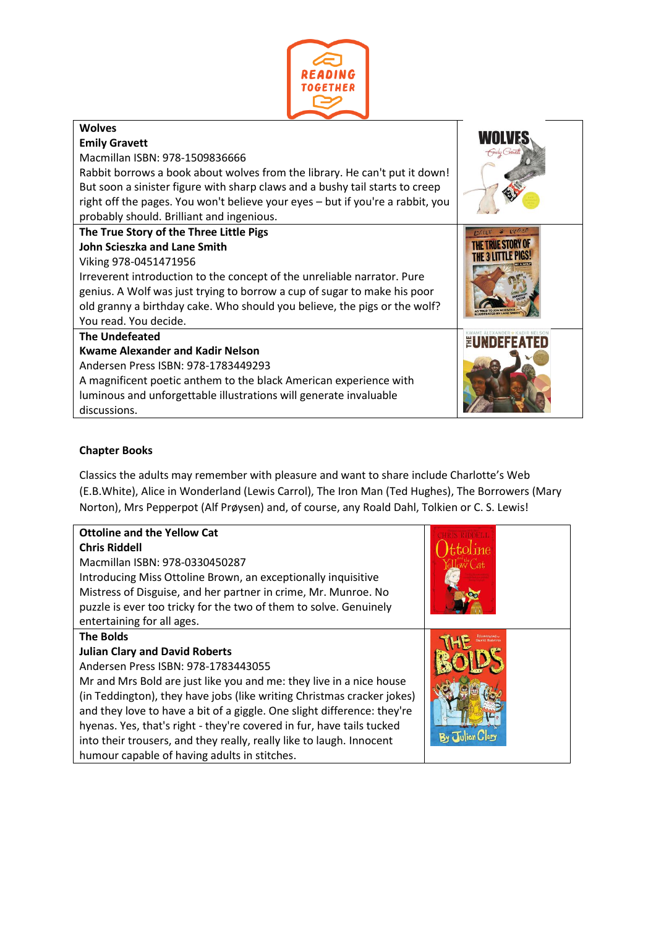

| <b>Wolves</b>                                                                  |                      |
|--------------------------------------------------------------------------------|----------------------|
| <b>Emily Gravett</b>                                                           |                      |
| Macmillan ISBN: 978-1509836666                                                 | <b>Finity Cravel</b> |
| Rabbit borrows a book about wolves from the library. He can't put it down!     |                      |
| But soon a sinister figure with sharp claws and a bushy tail starts to creep   |                      |
| right off the pages. You won't believe your eyes - but if you're a rabbit, you |                      |
| probably should. Brilliant and ingenious.                                      |                      |
| The True Story of the Three Little Pigs                                        |                      |
| John Scieszka and Lane Smith                                                   |                      |
| Viking 978-0451471956                                                          |                      |
| Irreverent introduction to the concept of the unreliable narrator. Pure        |                      |
| genius. A Wolf was just trying to borrow a cup of sugar to make his poor       |                      |
| old granny a birthday cake. Who should you believe, the pigs or the wolf?      |                      |
| You read. You decide.                                                          |                      |
| <b>The Undefeated</b>                                                          | EUNDEFEAT            |
| <b>Kwame Alexander and Kadir Nelson</b>                                        |                      |
| Andersen Press ISBN: 978-1783449293                                            |                      |
| A magnificent poetic anthem to the black American experience with              |                      |
| luminous and unforgettable illustrations will generate invaluable              |                      |
| discussions.                                                                   |                      |

# **Chapter Books**

Classics the adults may remember with pleasure and want to share include Charlotte's Web (E.B.White), Alice in Wonderland (Lewis Carrol), The Iron Man (Ted Hughes), The Borrowers (Mary Norton), Mrs Pepperpot (Alf Prøysen) and, of course, any Roald Dahl, Tolkien or C. S. Lewis!

| <b>Ottoline and the Yellow Cat</b>                                      |  |
|-------------------------------------------------------------------------|--|
| <b>Chris Riddell</b>                                                    |  |
| Macmillan ISBN: 978-0330450287                                          |  |
| Introducing Miss Ottoline Brown, an exceptionally inquisitive           |  |
| Mistress of Disguise, and her partner in crime, Mr. Munroe. No          |  |
| puzzle is ever too tricky for the two of them to solve. Genuinely       |  |
| entertaining for all ages.                                              |  |
| <b>The Bolds</b>                                                        |  |
| <b>Julian Clary and David Roberts</b>                                   |  |
| Andersen Press ISBN: 978-1783443055                                     |  |
| Mr and Mrs Bold are just like you and me: they live in a nice house     |  |
| (in Teddington), they have jobs (like writing Christmas cracker jokes)  |  |
| and they love to have a bit of a giggle. One slight difference: they're |  |
| hyenas. Yes, that's right - they're covered in fur, have tails tucked   |  |
| into their trousers, and they really, really like to laugh. Innocent    |  |
| humour capable of having adults in stitches.                            |  |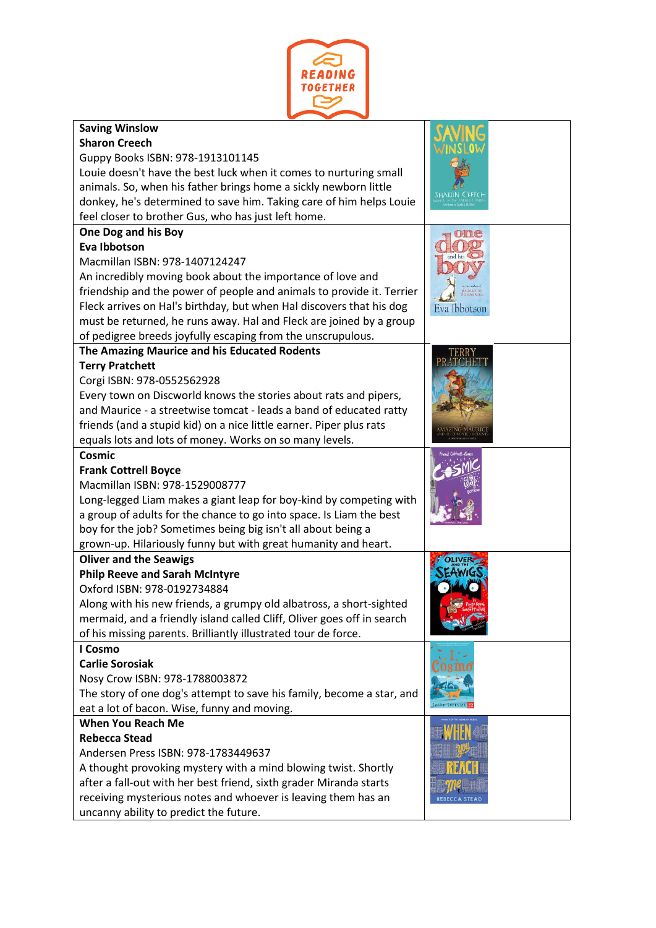

| <b>Saving Winslow</b>                                                  |              |
|------------------------------------------------------------------------|--------------|
| <b>Sharon Creech</b>                                                   |              |
| Guppy Books ISBN: 978-1913101145                                       |              |
| Louie doesn't have the best luck when it comes to nurturing small      |              |
| animals. So, when his father brings home a sickly newborn little       |              |
| donkey, he's determined to save him. Taking care of him helps Louie    |              |
| feel closer to brother Gus, who has just left home.                    |              |
| One Dog and his Boy                                                    |              |
| Eva Ibbotson                                                           |              |
| Macmillan ISBN: 978-1407124247                                         |              |
| An incredibly moving book about the importance of love and             |              |
| friendship and the power of people and animals to provide it. Terrier  |              |
| Fleck arrives on Hal's birthday, but when Hal discovers that his dog   | Eva Ibbotson |
| must be returned, he runs away. Hal and Fleck are joined by a group    |              |
| of pedigree breeds joyfully escaping from the unscrupulous.            |              |
| The Amazing Maurice and his Educated Rodents                           |              |
| <b>Terry Pratchett</b>                                                 |              |
| Corgi ISBN: 978-0552562928                                             |              |
| Every town on Discworld knows the stories about rats and pipers,       |              |
| and Maurice - a streetwise tomcat - leads a band of educated ratty     |              |
| friends (and a stupid kid) on a nice little earner. Piper plus rats    |              |
| equals lots and lots of money. Works on so many levels.                |              |
| <b>Cosmic</b>                                                          |              |
| <b>Frank Cottrell Boyce</b>                                            |              |
| Macmillan ISBN: 978-1529008777                                         |              |
| Long-legged Liam makes a giant leap for boy-kind by competing with     |              |
| a group of adults for the chance to go into space. Is Liam the best    |              |
| boy for the job? Sometimes being big isn't all about being a           |              |
| grown-up. Hilariously funny but with great humanity and heart.         |              |
| <b>Oliver and the Seawigs</b>                                          |              |
| <b>Philp Reeve and Sarah McIntyre</b>                                  |              |
| Oxford ISBN: 978-0192734884                                            |              |
| Along with his new friends, a grumpy old albatross, a short-sighted    |              |
| mermaid, and a friendly island called Cliff, Oliver goes off in search |              |
| of his missing parents. Brilliantly illustrated tour de force.         |              |
| I Cosmo                                                                |              |
| <b>Carlie Sorosiak</b>                                                 |              |
| Nosy Crow ISBN: 978-1788003872                                         |              |
| The story of one dog's attempt to save his family, become a star, and  |              |
| eat a lot of bacon. Wise, funny and moving.                            |              |
| <b>When You Reach Me</b>                                               |              |
| <b>Rebecca Stead</b>                                                   |              |
| Andersen Press ISBN: 978-1783449637                                    |              |
| A thought provoking mystery with a mind blowing twist. Shortly         |              |
| after a fall-out with her best friend, sixth grader Miranda starts     |              |
| receiving mysterious notes and whoever is leaving them has an          |              |
| uncanny ability to predict the future.                                 |              |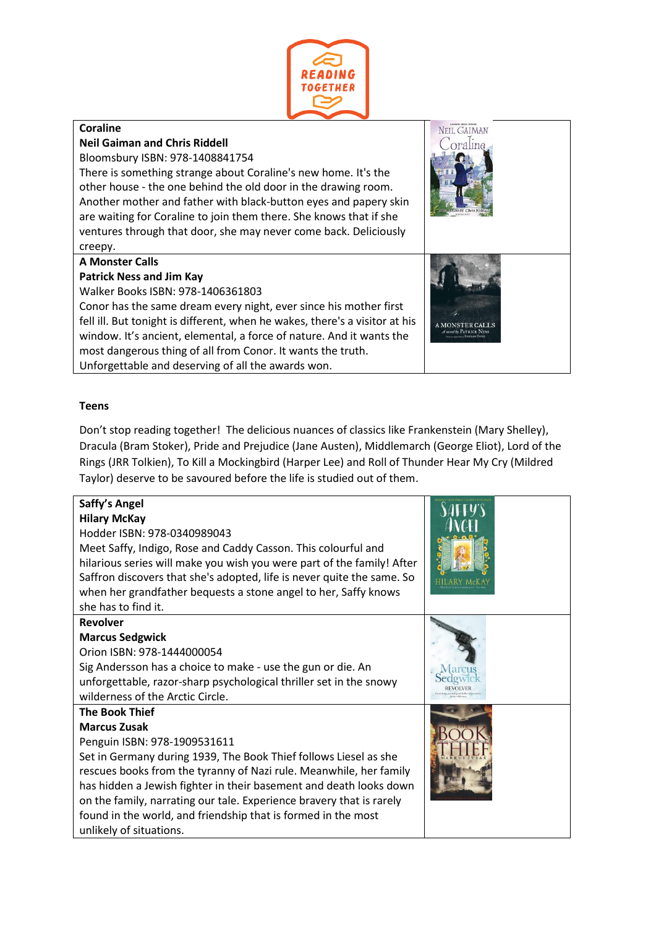

#### **Coraline** NEIL GAIMAN **Neil Gaiman and Chris Riddell** oraline Bloomsbury ISBN: 978-1408841754 There is something strange about Coraline's new home. It's the other house - the one behind the old door in the drawing room. Another mother and father with black-button eyes and papery skin are waiting for Coraline to join them there. She knows that if she ventures through that door, she may never come back. Deliciously creepy. **A Monster Calls Patrick Ness and Jim Kay** Walker Books ISBN: 978-1406361803 Conor has the same dream every night, ever since his mother first fell ill. But tonight is different, when he wakes, there's a visitor at his A MONSTER CALLS window. It's ancient, elemental, a force of nature. And it wants the most dangerous thing of all from Conor. It wants the truth. Unforgettable and deserving of all the awards won.

### **Teens**

Don't stop reading together! The delicious nuances of classics like Frankenstein (Mary Shelley), Dracula (Bram Stoker), Pride and Prejudice (Jane Austen), Middlemarch (George Eliot), Lord of the Rings (JRR Tolkien), To Kill a Mockingbird (Harper Lee) and Roll of Thunder Hear My Cry (Mildred Taylor) deserve to be savoured before the life is studied out of them.

| Saffy's Angel<br><b>Hilary McKay</b><br>Hodder ISBN: 978-0340989043<br>Meet Saffy, Indigo, Rose and Caddy Casson. This colourful and<br>hilarious series will make you wish you were part of the family! After<br>Saffron discovers that she's adopted, life is never quite the same. So<br>when her grandfather bequests a stone angel to her, Saffy knows<br>she has to find it.                                                                               |  |
|------------------------------------------------------------------------------------------------------------------------------------------------------------------------------------------------------------------------------------------------------------------------------------------------------------------------------------------------------------------------------------------------------------------------------------------------------------------|--|
| <b>Revolver</b><br><b>Marcus Sedgwick</b><br>Orion ISBN: 978-1444000054<br>Sig Andersson has a choice to make - use the gun or die. An<br>unforgettable, razor-sharp psychological thriller set in the snowy<br>wilderness of the Arctic Circle.                                                                                                                                                                                                                 |  |
| <b>The Book Thief</b><br><b>Marcus Zusak</b><br>Penguin ISBN: 978-1909531611<br>Set in Germany during 1939, The Book Thief follows Liesel as she<br>rescues books from the tyranny of Nazi rule. Meanwhile, her family<br>has hidden a Jewish fighter in their basement and death looks down<br>on the family, narrating our tale. Experience bravery that is rarely<br>found in the world, and friendship that is formed in the most<br>unlikely of situations. |  |